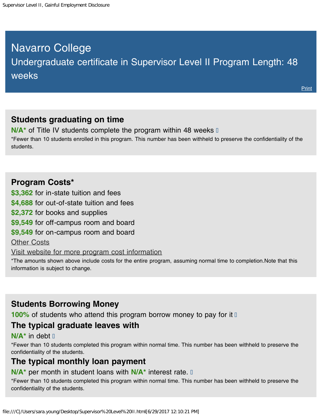# <span id="page-0-0"></span>Navarro College Undergraduate certificate in Supervisor Level II Program Length: 48 weeks

# **Students graduating on time**

**N/A<sup>\*</sup>** of Title IV students complete the program within 48 weeks  $\mathbb{I}$ \*Fewer than 10 students enrolled in this program. This number has been withheld to preserve the confidentiality of the students.

#### **Program Costs\***

**\$3,362** for in-state tuition and fees

**\$4,688** for out-of-state tuition and fees

**\$2,372** for books and supplies

**\$9,549** for off-campus room and board

**\$9,549** for on-campus room and board

[Other Costs](#page-0-0)

[Visit website for more program cost information](http://navarrocollege.smartcatalogiq.com/en/2017-2018/Catalog/Degree-and-Certificate-Programs/Business/Supervisor-s-Certificate-Level-II)

\*The amounts shown above include costs for the entire program, assuming normal time to completion.Note that this information is subject to change.

# **Students Borrowing Money**

**100%** of students who attend this program borrow money to pay for it  $\mathbb{I}$ 

#### **The typical graduate leaves with**

#### **N/A\*** in debt

\*Fewer than 10 students completed this program within normal time. This number has been withheld to preserve the confidentiality of the students.

# **The typical monthly loan payment**

#### **N/A\*** per month in student loans with **N/A\*** interest rate.

\*Fewer than 10 students completed this program within normal time. This number has been withheld to preserve the confidentiality of the students.